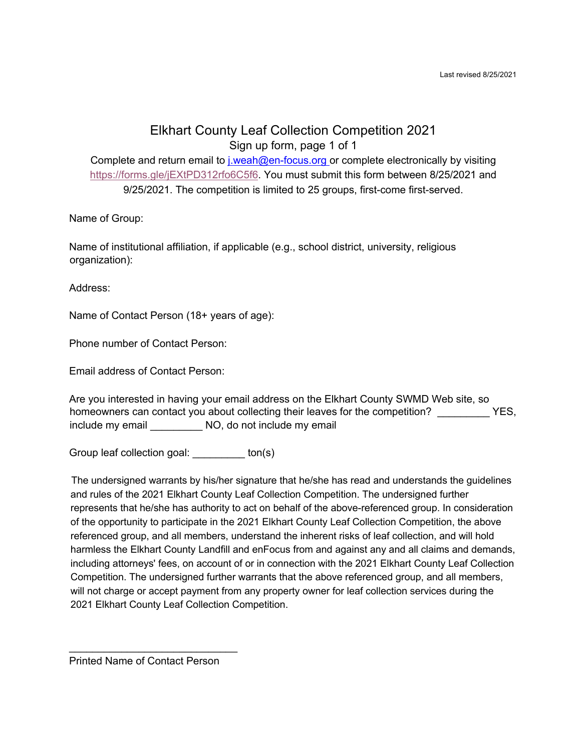## Elkhart County Leaf Collection Competition 2021 Sign up form, page 1 of 1

Complete and return email to *j.weah@en-focus.org* or complete electronically by visiting https://forms.gle/jEXtPD312rfo6C5f6. You must submit this form between 8/25/2021 and 9/25/2021. The competition is limited to 25 groups, first-come first-served.

Name of Group:

Name of institutional affiliation, if applicable (e.g., school district, university, religious organization):

Address:

Name of Contact Person (18+ years of age):

Phone number of Contact Person:

Email address of Contact Person:

Are you interested in having your email address on the Elkhart County SWMD Web site, so homeowners can contact you about collecting their leaves for the competition? YES, include my email \_\_\_\_\_\_\_\_\_\_\_ NO, do not include my email

Group leaf collection goal: \_\_\_\_\_\_\_\_\_ ton(s)

The undersigned warrants by his/her signature that he/she has read and understands the guidelines and rules of the 2021 Elkhart County Leaf Collection Competition. The undersigned further represents that he/she has authority to act on behalf of the above-referenced group. In consideration of the opportunity to participate in the 2021 Elkhart County Leaf Collection Competition, the above referenced group, and all members, understand the inherent risks of leaf collection, and will hold harmless the Elkhart County Landfill and enFocus from and against any and all claims and demands, including attorneys' fees, on account of or in connection with the 2021 Elkhart County Leaf Collection Competition. The undersigned further warrants that the above referenced group, and all members, will not charge or accept payment from any property owner for leaf collection services during the 2021 Elkhart County Leaf Collection Competition.

Printed Name of Contact Person